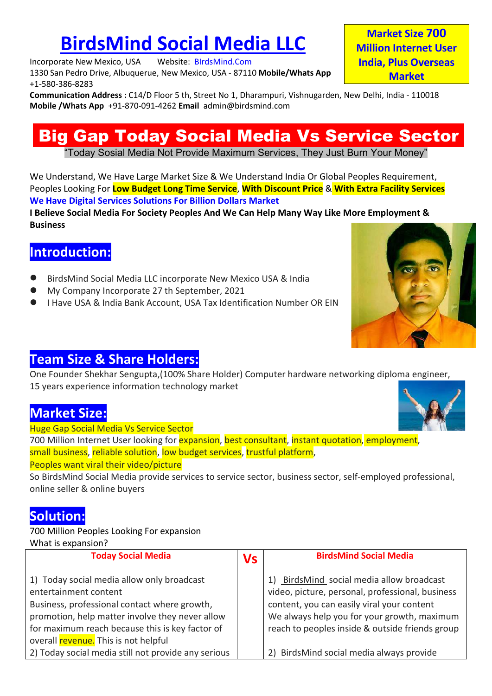+1-580-386-8283

**BirdsMind Social Media LLC**<br>
Trate New Mexico, USA Website: BIrdsMind.Com<br>
Thedro Drive, Albuquerue, New Mexico, USA - 87110 Mobile/Whats App<br>
Market Size S283<br>
Market Microsoft Albuquerue, New Mexico, USA - 87110 Mobile/ **BirdsMind Social Media LLC**<br>Incorporate New Mexico, USA Website: BIrdsMind.Com<br>1330 San Pedro Drive, Albuquerue, New Mexico, USA - 87110 Mobile/Whats App<br>1-580-386-8283<br>Communication Address : C14/D Floor 5 th, Street No **BirdsMind Social Media LLC**<br>
Incorporate New Mexico, USA - Website: BIrdsMind.Com<br>
1330 San Pedro Drive, Albuquerue, New Mexico, USA - 87110 Mobile/Whats App<br>
1-580-386-8283<br> **Communication Address : C14/D Floor 5 th, Str BirdsMind Social Media LLC**<br>
Incorporate New Mexico, USA Website: BirdsMind.Com<br>
1330 San Pedro Drive, Albuquerue, New Mexico, USA - 87110 Mobile/Whats App<br>
1350-386-8283<br>
Communication Address : C14/D Floor 5 th, Street **BirdsMind Social Media LLC**<br>
Incorporate New Mexico, USA Website: BIrdsMind.Com<br>
1330 San Pedro Drive, Albuquerue, New Mexico, USA - 87110 Mobile/Whats App India, Plus Overseas<br>
1000 Drive, Albuquerue, New Mexico, USA - 8

**BirdsMind Social Media LLC**<br>
Social Media LLC<br>
Social Media Venetic Million Internet User<br>
Sach Pedro Drive, Albuquerue, New Mexico, USA - 87110 Mobile/Whats App<br>
Sach Pedro Drive, Albuquerue, New Mexico, USA - 87110 Mobi **BirdsMind Social Media LLC**<br>
Market Size 700<br>
Market Size 700<br>
Pedro Drive, Albuquerue, New Mexico, USA - 87110 Mobile/Whats App<br>
Pedro Drive, Albuquerue, New Mexico, USA - 87110 Mobile/Whats App<br>
Market<br>
Market<br>
Market<br> **BirdsMind Social Media LLC**<br>Incorporate New Mexico, USA Website: BlrdsMind.Com<br>
1330 San Pedro Drive, Albuquerue, New Mexico, USA - 87110 Mobile/Whats App<br>
141-580-3838-3833<br>
Communication Address : C14/D Floor 5 th, Stre **BirdsMind Social Media LLC**<br>Incorporate New Mexico, USA Website: BirdsMind.Com<br>
1330-365-8283<br>
1350-365-8283<br>
Communication Address: C14/D Floor 5 th, Street No 1, Dharampuri, Vishnugarden, New Delhi, India - 110018<br>
Mobi **BirdsMind Social Media LLC**<br>
Incorporate New Mexico, USA website: BirdSMind.Com<br>
1330 San Pedro Drive, Albuquerue, New Mexico, USA - 87110 Mobile/Whats App<br>
1-580-386-8283<br>
Mobile /Whats App +91-870-091-4262 Email admin@b **BirdsMind Social Media LLC**<br>Incorporate New Mexico, USA Webster: BirdsMind.Com<br>
1330 San Pedro Drive, Albuquerue, New Mexico, USA - 87110 Mobile/Whats App<br>
11-580-386-8283<br>
Communication Address : C14/D Floor 5 th, Street Today Sosial wiedla Not Provide Waximum Services, They Just Bum Tour World<br>
We Understand, We Have Large Market Size & We Understand India Or Global Peoples Requirences<br>
We Have Digital Services Solutions For Billion Dolla

Business

## Introduction:

- 
- 
- 



**I Believe Social Media For Society Peoples And We Can Help Many Way Like N<br>
Business<br>
Introduction:**<br>
• BirdsMind Social Media LLC incorporate New Mexico USA & India<br>
• My Company Incorporate 27 th September, 2021<br>
• Have • BirdsMind Social Media LLC incorporate New Mexico USA & India<br>• My Company Incorporate 27 th September, 2021<br>• I Have USA & India Bank Account, USA Tax Identification Number OR EIN<br>• **Team Size & Share Holders:**<br>One Foun ● BirdsMind Social Media LLC incorporate New Mexico USA & India<br>● My Company Incorporate 27 th September, 2021<br>● I Have USA & India Bank Account, USA Tax Identification Number OR EIN<br>
Team Size & Share Holders:<br>
One Found • My Company Incorporate 27 th September, 2021<br>• My Company Incorporate 27 th September, 2021<br>• I Have USA & India Bank Account, USA Tax Identification Number OR EIN<br>• I Have USA & India Bank Account, USA Tax Identificatio

# Solution:

| <b>Team Size &amp; Share Holders:</b>                                                                      |           |                                                  |
|------------------------------------------------------------------------------------------------------------|-----------|--------------------------------------------------|
| One Founder Shekhar Sengupta, (100% Share Holder) Computer hardware networking diploma engineer,           |           |                                                  |
| 15 years experience information technology market                                                          |           |                                                  |
| <b>Market Size:</b>                                                                                        |           |                                                  |
| <b>Huge Gap Social Media Vs Service Sector</b>                                                             |           |                                                  |
| 700 Million Internet User looking for expansion, best consultant, instant quotation, employment,           |           |                                                  |
| small business, reliable solution, low budget services, trustful platform,                                 |           |                                                  |
| Peoples want viral their video/picture                                                                     |           |                                                  |
| So BirdsMind Social Media provide services to service sector, business sector, self-employed professional, |           |                                                  |
| online seller & online buyers                                                                              |           |                                                  |
|                                                                                                            |           |                                                  |
| <b>Solution:</b>                                                                                           |           |                                                  |
| 700 Million Peoples Looking For expansion                                                                  |           |                                                  |
| What is expansion?                                                                                         |           |                                                  |
| <b>Today Social Media</b>                                                                                  | <b>Vs</b> | <b>BirdsMind Social Media</b>                    |
| 1) Today social media allow only broadcast                                                                 |           | BirdsMind social media allow broadcast           |
| entertainment content                                                                                      |           | video, picture, personal, professional, business |
| Business, professional contact where growth,                                                               |           | content, you can easily viral your content       |
| promotion, help matter involve they never allow                                                            |           | We always help you for your growth, maximum      |
| for maximum reach because this is key factor of                                                            |           | reach to peoples inside & outside friends group  |
|                                                                                                            |           |                                                  |
| overall revenue. This is not helpful<br>2) Today social media still not provide any serious                |           | 2) BirdsMind social media always provide         |

Market Size 700<br>illion Internet User<br>dia, Plus Overseas<br>Market<br><sup>Delhi</sup> India - 110018 Market Size 700<br>
Million Internet User<br>
India, Plus Overseas<br>
Market<br>
W Delhi, India - 110018 Market Size 700<br>Million Internet User<br>India, Plus Overseas<br>Market<br>V Delhi, India - 110018 **Market**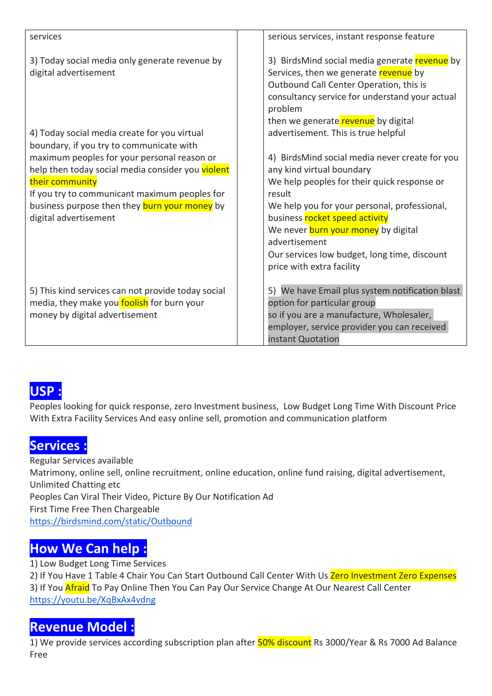| services                                                                                                                                                                                                                                                                                                                                                                                                                                                                                                                                        | serious services, instant response feature                                                                                                                                                                                                                                                                                                                                                                                                |
|-------------------------------------------------------------------------------------------------------------------------------------------------------------------------------------------------------------------------------------------------------------------------------------------------------------------------------------------------------------------------------------------------------------------------------------------------------------------------------------------------------------------------------------------------|-------------------------------------------------------------------------------------------------------------------------------------------------------------------------------------------------------------------------------------------------------------------------------------------------------------------------------------------------------------------------------------------------------------------------------------------|
| 3) Today social media only generate revenue by<br>digital advertisement                                                                                                                                                                                                                                                                                                                                                                                                                                                                         | 3) BirdsMind social media generate revenue by<br>Services, then we generate revenue by<br>Outbound Call Center Operation, this is<br>consultancy service for understand your actual<br>problem                                                                                                                                                                                                                                            |
| 4) Today social media create for you virtual<br>boundary, if you try to communicate with<br>maximum peoples for your personal reason or<br>help then today social media consider you violent<br>their community<br>If you try to communicant maximum peoples for<br>business purpose then they burn your money by<br>digital advertisement                                                                                                                                                                                                      | then we generate revenue by digital<br>advertisement. This is true helpful<br>4) BirdsMind social media never create for you<br>any kind virtual boundary<br>We help peoples for their quick response or<br>result<br>We help you for your personal, professional,<br>business rocket speed activity<br>We never burn your money by digital<br>advertisement<br>Our services low budget, long time, discount<br>price with extra facility |
| 5) This kind services can not provide today social<br>media, they make you foolish for burn your<br>money by digital advertisement                                                                                                                                                                                                                                                                                                                                                                                                              | 5) We have Email plus system notification blast<br>option for particular group<br>so if you are a manufacture, Wholesaler,<br>employer, service provider you can received<br>instant Quotation                                                                                                                                                                                                                                            |
| USP:<br>Peoples looking for quick response, zero Investment business, Low Budget Long Time With Discount Price<br>With Extra Facility Services And easy online sell, promotion and communication platform<br><b>Services:</b><br>Regular Services available<br>Matrimony, online sell, online recruitment, online education, online fund raising, digital advertisement,<br>Unlimited Chatting etc<br>Peoples Can Viral Their Video, Picture By Our Notification Ad<br>First Time Free Then Chargeable<br>https://birdsmind.com/static/Outbound |                                                                                                                                                                                                                                                                                                                                                                                                                                           |

S) This kind services can not provide today social<br>
S) This kind services can not provide today social<br>
money by digital advertisement<br>
money by digital advertisement<br>
so if you are a manufacture<br>
employer, service provide S) Ins Kind service Can not provide today social<br>
The Simulation of production of the metallity are the production basis.<br>
The metallity of the product of the product of the service provider you can received<br>
The metallity media, they make you **roolish** for burn your<br>
money by digital advertisement<br>
so if you are a manufacture,<br>
employer, service provider yer<br>
Peoples looking for quick response, zero Investment business, Low Budget Long Time https://birdsmind.com/static/Outbound **LISP:**<br> **LISP:**<br> **Peoples looking for quick response**, zero Investment business, Low Budget Long Time With Dis<br>
With Extra Facility Services And easy online sell, promotion and communication platform<br> **Services :**<br> **Regul USP :**<br>
Peoples looking for quick response, zero Investment business, Low Budget Long Time With D<br>
With Extra Facility Services And easy online sell, promotion and communication platform<br> **Services :**<br>
Regular Services av **USP :**<br>Peoples looking for quick response, zero Investment business, Low Budget Long Time With Discount Price<br>With Extra Facility Services And easy online sell, promotion and communication platform<br>Regular Services availa **1952 :**<br>Peoples looking for quick response, zero Investment business, Low Budget Long Time With Discount Price<br>With Extra Facility Services And easy online sell, promotion and communication platform<br>Services :<br>Services av **Services :**<br>
Regular Services available<br>
Regular Services available<br>
Minimited Chatting etc<br>
Unlimited Chatting etc<br>
Unlimited Chatting etc<br>
Peoples Can Viral Their Video, Picture By Our Notification Ad<br>
First Time Free T **Services :**<br>Regular Services available<br>Matrimony, online sell, online recruitment, online education, online fund raising, digital advertisement,<br>Mulmited Chatting etc<br>Proples Can Viral Their Video, Picture By Our Notifica

https://youtu.be/XqBxAx4vdng

Free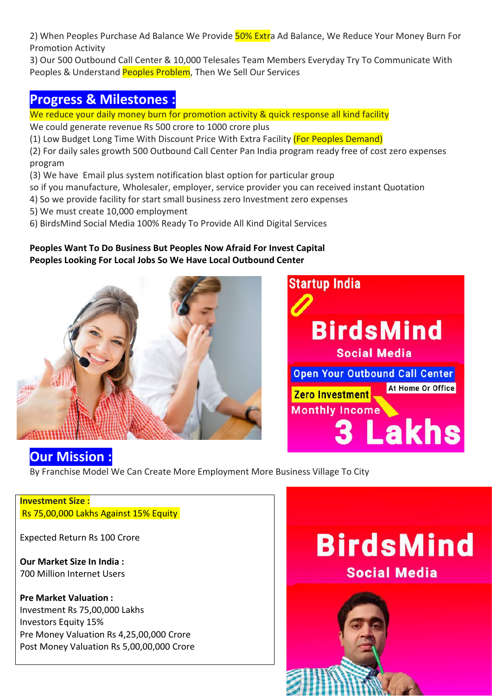2) When Peoples Purchase Ad Balance We Provide <mark>50% Extr</mark>a Ad Balance, We Reduce Your Money Burn For<br>Promotion Activity<br>3) Our 500 Outbound Call Center & 10,000 Telesales Team Members Everyday Try To Communicate With<br>Peopl 2) When Peoples Purchase Ad Balance We Provide <mark>50% Extr</mark>a Ad Balance, We F<br>Promotion Activity<br>3) Our 500 Outbound Call Center & 10,000 Telesales Team Members Everyday<br>Peoples & Understand Peoples Problem, Then We Sell Our 2) When Peoples Purchase Ad Balance We Provide <mark>50% Extr</mark>a Ad Balance, We Reduce Your Money Burn For<br>Promotion Activity<br>3) Our 500 Outbound Call Center & 10,000 Telesales Team Members Everyday Try To Communicate With<br>Peopl 2) When Peoples Purchase Ad Balance We Provide <mark>50% Extr</mark>a Ad Balance, We Reduce Your Money Burn For<br>Promotion Activity<br>3) Our 500 Outbound Call Center & 10,000 Telesales Team Members Everyday Try To Communicate With<br>Peopl 2) When Peoples Purchase Ad Balance We Provide <mark>50% Extr</mark>a Ad Balance, We Reduce Your Money Burn<br>Promotion Activity<br>3) Our 500 Outbound Call Center & 10,000 Telesales Team Members Everyday Try To Communicate W<br>Peoples & Un 2) When Peoples Purchase Ad Balance We Provide <mark>50% Extr</mark>a Ad Balance, We Reduce Your Money Burn For<br>Promotion Activity<br>3) Our 500 Outbound Call Center & 10,000 Telesales Team Members Everyday Try To Communicate With<br>Peopl 2) When Peoples Purchase Ad Balance We Provide <mark>50% Extr</mark>a Ad Balance, We Reduce Your Money Burn For<br>Promotion Activity<br>3) Our 500 Outbound Call Center & 10,000 Telesales Team Members Everyday Try To Communicate With<br>Peopl 2) When Peoples Purchase Ad Balance We Provide <mark>50% Extr</mark>a Ad Balance, We Reduce Your Money Burn For<br>Promotion Activity<br>3) Our 500 Outbound Call Center & 10,000 Telesales Team Members Everyday Try To Communicate With<br>Peopl 2) When Peoples Purchase Ad Balance We Provide <mark>50% Extr</mark>a Ad Balance, We Reduce Your Money Burn For<br>Promotion Activity<br>3) Our 500 Outbound Call Center & 10,000 Telesales Team Members Everyday Try To Communicate With<br>Peopl 2) When Peoples Purchase Ad Balance We Provide <mark>50% Extr</mark>a Ad Balance, We Reduce Your Money Burn For<br>Promotion Activity<br>3) Our 500 Outbound Call Center & 10,000 Telesales Team Members Everyday Try To Communicate With<br>Peopl 2) When Peoples Purchase Ad Balance We Provide <mark>50% Extr</mark>a Ad Balance, We Reduce Your Money Burn For<br>Promotion Activity<br>3) Our 500 Outbound Call Center & 10,000 Telesales Team Members Everyday Try To Communicate With<br>Peopl 2) When Peoples Purchase Ad Balance We Provide 50% Extra Ad Balance, We Reduce Your Money Burn For<br>2) Our 500 Outbound Call Center & 10,000 Telesales Team Members Everyday Try To Communicate With<br>2) Our 500 Outbound Call C 2) When Peoples Purchase Ad Balance We Provide 50% Extra Ad Balance, We Reduce Your Money Burn For<br>Promotion Activity<br>3) Our 500 Outbound Call Center & 10,000 Telesales Team Members Everyday Try To Communicate With<br>Reoples

program 2) When Peoples Purchase Ad Balance We Provide 50% Extra Ad Balance, We Reduce Your Me<br>Promotion Activity<br>3) Our 500 Outbound Call Center & 10,000 Telesales Team Members Everyday Try To Commu<br>Peoples & Understand Peoples P Promotion Activity<br>
3) Our 500 Outbound Call Center & 10,000 Telesales Team Members Everyday Try To Communicate With<br>
9 Peoples & Understand Peoples Problem, Then We Sell Our Services<br>
Progress & Milestones<br>
2) Progress &





**COUT Mission:**<br>
By Franchise Model We Can Create More Employment More Business Village To (<br> **Investment Size:**<br>
Rs 75,00,000 Lakhs Against 15% Equity<br>
Expected Return Rs 100 Crore<br>
Our Market Size In India :<br>
1700 Millio